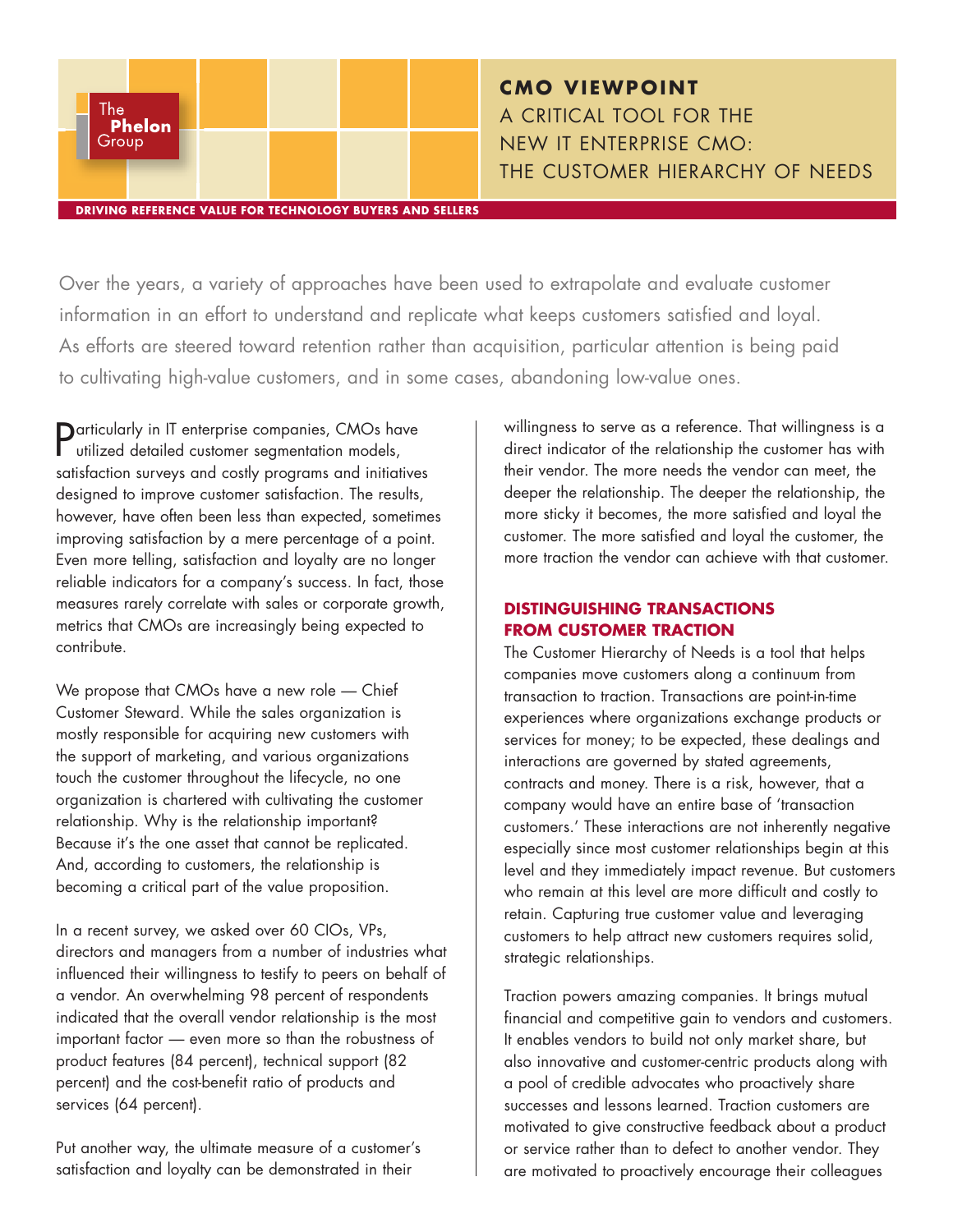

# **CMO VIEWPOINT** A CRITICAL TOOL FOR THE NEW IT ENTERPRISE CMO: THE CUSTOMER HIERARCHY OF NEEDS

Over the years, a variety of approaches have been used to extrapolate and evaluate customer information in an effort to understand and replicate what keeps customers satisfied and loyal. As efforts are steered toward retention rather than acquisition, particular attention is being paid to cultivating high-value customers, and in some cases, abandoning low-value ones.

Particularly in IT enterprise companies, CMOs have utilized detailed customer segmentation models, satisfaction surveys and costly programs and initiatives designed to improve customer satisfaction. The results, however, have often been less than expected, sometimes improving satisfaction by a mere percentage of a point. Even more telling, satisfaction and loyalty are no longer reliable indicators for a company's success. In fact, those measures rarely correlate with sales or corporate growth, metrics that CMOs are increasingly being expected to contribute.

We propose that CMOs have a new role — Chief Customer Steward. While the sales organization is mostly responsible for acquiring new customers with the support of marketing, and various organizations touch the customer throughout the lifecycle, no one organization is chartered with cultivating the customer relationship. Why is the relationship important? Because it's the one asset that cannot be replicated. And, according to customers, the relationship is becoming a critical part of the value proposition.

In a recent survey, we asked over 60 CIOs, VPs, directors and managers from a number of industries what influenced their willingness to testify to peers on behalf of a vendor. An overwhelming 98 percent of respondents indicated that the overall vendor relationship is the most important factor — even more so than the robustness of product features (84 percent), technical support (82 percent) and the cost-benefit ratio of products and services (64 percent).

Put another way, the ultimate measure of a customer's satisfaction and loyalty can be demonstrated in their

willingness to serve as a reference. That willingness is a direct indicator of the relationship the customer has with their vendor. The more needs the vendor can meet, the deeper the relationship. The deeper the relationship, the more sticky it becomes, the more satisfied and loyal the customer. The more satisfied and loyal the customer, the more traction the vendor can achieve with that customer.

#### **DISTINGUISHING TRANSACTIONS FROM CUSTOMER TRACTION**

The Customer Hierarchy of Needs is a tool that helps companies move customers along a continuum from transaction to traction. Transactions are point-in-time experiences where organizations exchange products or services for money; to be expected, these dealings and interactions are governed by stated agreements, contracts and money. There is a risk, however, that a company would have an entire base of 'transaction customers.' These interactions are not inherently negative especially since most customer relationships begin at this level and they immediately impact revenue. But customers who remain at this level are more difficult and costly to retain. Capturing true customer value and leveraging customers to help attract new customers requires solid, strategic relationships.

Traction powers amazing companies. It brings mutual financial and competitive gain to vendors and customers. It enables vendors to build not only market share, but also innovative and customer-centric products along with a pool of credible advocates who proactively share successes and lessons learned. Traction customers are motivated to give constructive feedback about a product or service rather than to defect to another vendor. They are motivated to proactively encourage their colleagues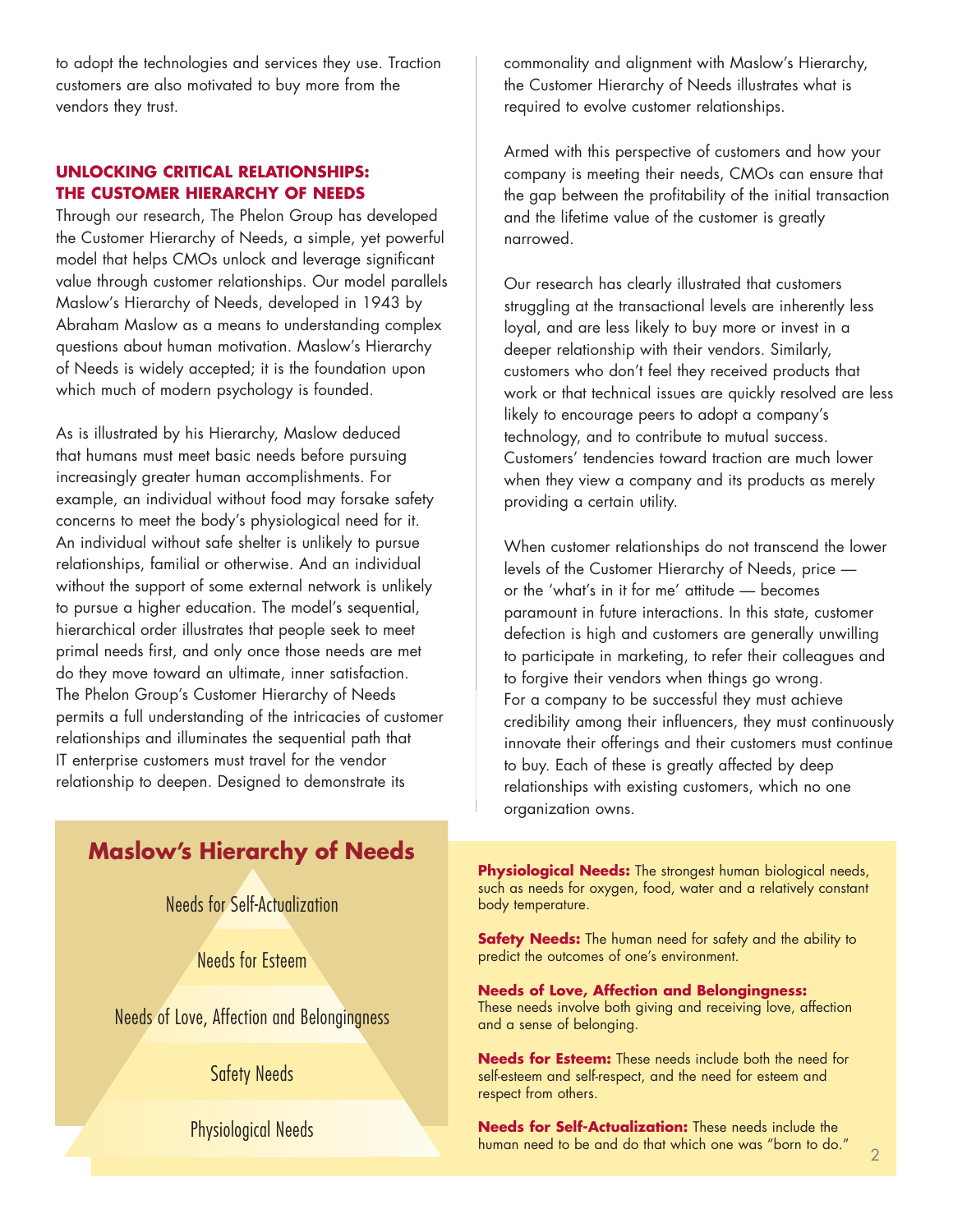to adopt the technologies and services they use. Traction customers are also motivated to buy more from the vendors they trust.

### **UNLOCKING CRITICAL RELATIONSHIPS: THE CUSTOMER HIERARCHY OF NEEDS**

Through our research, The Phelon Group has developed the Customer Hierarchy of Needs, a simple, yet powerful model that helps CMOs unlock and leverage significant value through customer relationships. Our model parallels Maslow's Hierarchy of Needs, developed in 1943 by Abraham Maslow as a means to understanding complex questions about human motivation. Maslow's Hierarchy of Needs is widely accepted; it is the foundation upon which much of modern psychology is founded.

As is illustrated by his Hierarchy, Maslow deduced that humans must meet basic needs before pursuing increasingly greater human accomplishments. For example, an individual without food may forsake safety concerns to meet the body's physiological need for it. An individual without safe shelter is unlikely to pursue relationships, familial or otherwise. And an individual without the support of some external network is unlikely to pursue a higher education. The model's sequential, hierarchical order illustrates that people seek to meet primal needs first, and only once those needs are met do they move toward an ultimate, inner satisfaction. The Phelon Group's Customer Hierarchy of Needs permits a full understanding of the intricacies of customer relationships and illuminates the sequential path that IT enterprise customers must travel for the vendor relationship to deepen. Designed to demonstrate its

commonality and alignment with Maslow's Hierarchy, the Customer Hierarchy of Needs illustrates what is required to evolve customer relationships.

Armed with this perspective of customers and how your company is meeting their needs, CMOs can ensure that the gap between the profitability of the initial transaction and the lifetime value of the customer is greatly narrowed.

Our research has clearly illustrated that customers struggling at the transactional levels are inherently less loyal, and are less likely to buy more or invest in a deeper relationship with their vendors. Similarly, customers who don't feel they received products that work or that technical issues are quickly resolved are less likely to encourage peers to adopt a company's technology, and to contribute to mutual success. Customers' tendencies toward traction are much lower when they view a company and its products as merely providing a certain utility.

When customer relationships do not transcend the lower levels of the Customer Hierarchy of Needs, price or the 'what's in it for me' attitude — becomes paramount in future interactions. In this state, customer defection is high and customers are generally unwilling to participate in marketing, to refer their colleagues and to forgive their vendors when things go wrong. For a company to be successful they must achieve credibility among their influencers, they must continuously innovate their offerings and their customers must continue to buy. Each of these is greatly affected by deep relationships with existing customers, which no one organization owns.

# **Maslow's Hierarchy of Needs**

Needs for Self-Actualization

Needs for Esteem

Needs of Love, Affection and Belongingness

Safety Needs

Physiological Needs

**Physiological Needs:** The strongest human biological needs, such as needs for oxygen, food, water and a relatively constant body temperature.

**Safety Needs:** The human need for safety and the ability to predict the outcomes of one's environment.

#### **Needs of Love, Affection and Belongingness:**

These needs involve both giving and receiving love, affection and a sense of belonging.

**Needs for Esteem:** These needs include both the need for self-esteem and self-respect, and the need for esteem and respect from others.

**Needs for Self-Actualization:** These needs include the human need to be and do that which one was "born to do."  $\overline{\phantom{a}}_2$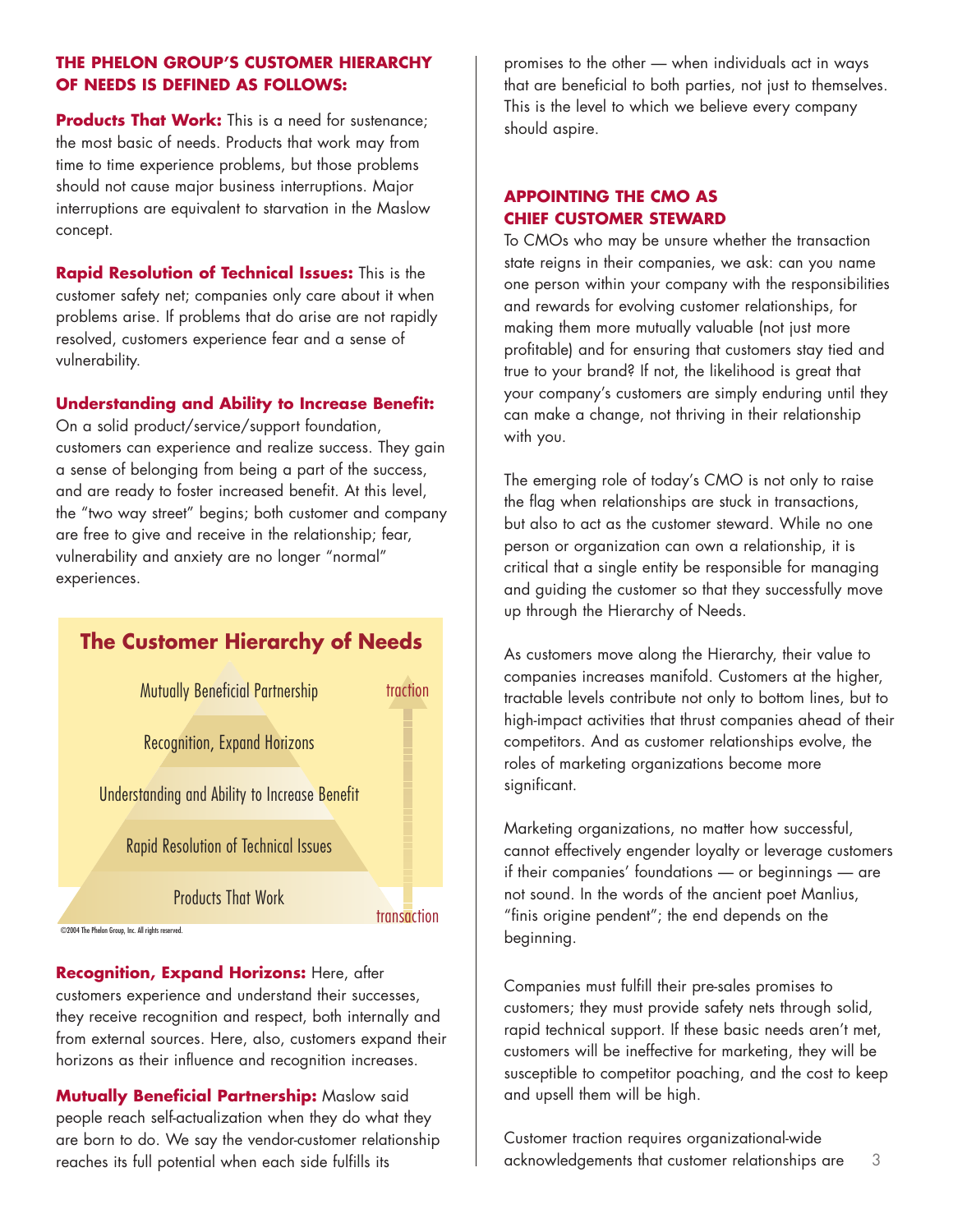### **THE PHELON GROUP'S CUSTOMER HIERARCHY OF NEEDS IS DEFINED AS FOLLOWS:**

**Products That Work:** This is a need for sustenance; the most basic of needs. Products that work may from time to time experience problems, but those problems should not cause major business interruptions. Major interruptions are equivalent to starvation in the Maslow concept.

**Rapid Resolution of Technical Issues:** This is the customer safety net; companies only care about it when problems arise. If problems that do arise are not rapidly resolved, customers experience fear and a sense of vulnerability.

#### **Understanding and Ability to Increase Benefit:**

On a solid product/service/support foundation, customers can experience and realize success. They gain a sense of belonging from being a part of the success, and are ready to foster increased benefit. At this level, the "two way street" begins; both customer and company are free to give and receive in the relationship; fear, vulnerability and anxiety are no longer "normal" experiences.

# **The Customer Hierarchy of Needs**

| <b>Mutually Beneficial Partnership</b>               | traction    |
|------------------------------------------------------|-------------|
| Recognition, Expand Horizons                         |             |
| <b>Understanding and Ability to Increase Benefit</b> |             |
| <b>Rapid Resolution of Technical Issues</b>          |             |
| <b>Products That Work</b>                            | transaction |
| helon Group, Inc. All rights reserved.               |             |

**Recognition, Expand Horizons:** Here, after customers experience and understand their successes, they receive recognition and respect, both internally and from external sources. Here, also, customers expand their horizons as their influence and recognition increases.

 $@2004$  The P

**Mutually Beneficial Partnership:** Maslow said people reach self-actualization when they do what they are born to do. We say the vendor-customer relationship reaches its full potential when each side fulfills its

promises to the other — when individuals act in ways that are beneficial to both parties, not just to themselves. This is the level to which we believe every company should aspire.

#### **APPOINTING THE CMO AS CHIEF CUSTOMER STEWARD**

To CMOs who may be unsure whether the transaction state reigns in their companies, we ask: can you name one person within your company with the responsibilities and rewards for evolving customer relationships, for making them more mutually valuable (not just more profitable) and for ensuring that customers stay tied and true to your brand? If not, the likelihood is great that your company's customers are simply enduring until they can make a change, not thriving in their relationship with you.

The emerging role of today's CMO is not only to raise the flag when relationships are stuck in transactions, but also to act as the customer steward. While no one person or organization can own a relationship, it is critical that a single entity be responsible for managing and guiding the customer so that they successfully move up through the Hierarchy of Needs.

As customers move along the Hierarchy, their value to companies increases manifold. Customers at the higher, tractable levels contribute not only to bottom lines, but to high-impact activities that thrust companies ahead of their competitors. And as customer relationships evolve, the roles of marketing organizations become more significant.

Marketing organizations, no matter how successful, cannot effectively engender loyalty or leverage customers if their companies' foundations — or beginnings — are not sound. In the words of the ancient poet Manlius, "finis origine pendent"; the end depends on the beginning.

Companies must fulfill their pre-sales promises to customers; they must provide safety nets through solid, rapid technical support. If these basic needs aren't met, customers will be ineffective for marketing, they will be susceptible to competitor poaching, and the cost to keep and upsell them will be high.

Customer traction requires organizational-wide acknowledgements that customer relationships are 3